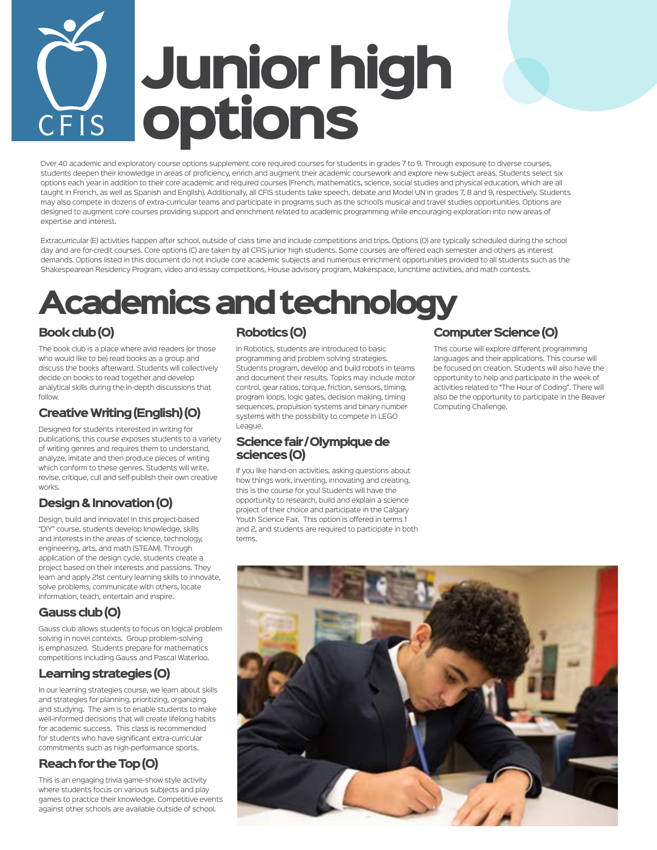# Junior high options CFIS

Over 40 academic and exploratory course options supplement core required courses for students in grades 7 to 9. Through exposure to diverse courses, students deepen their knowledge in areas of proficiency, enrich and augment their academic coursework and explore new subject areas. Students select six options each year in addition to their core academic and required courses (French, mathematics, science, social studies and physical education, which are all taught in French, as well as Spanish and English). Additionally, all CFIS students take speech, debate and Model UN in grades 7, 8 and 9, respectively. Students may also compete in dozens of extra-curricular teams and participate in programs such as the school's musical and travel studies opportunities. Options are designed to augment core courses providing support and enrichment related to academic programming while encouraging exploration into new areas of expertise and interest.

Extracurricular (E) activities happen after school, outside of class time and include competitions and trips. Options (O) are typically scheduled during the school day and are for-credit courses. Core options (C) are taken by all CFIS junior high students. Some courses are offered each semester and others as interest demands. Options listed in this document do not include core academic subjects and numerous enrichment opportunities provided to all students such as the Shakespearean Residency Program, video and essay competitions, House advisory program, Makerspace, lunchtime activities, and math contests.

# Academics and technology

#### Book club (O)

The book club is a place where avid readers (or those who would like to be) read books as a group and discuss the books afterward. Students will collectively decide on books to read together and develop analytical skills during the in-depth discussions that follow.

#### Creative Writing (English) (O)

Designed for students interested in writing for publications, this course exposes students to a variety of writing genres and requires them to understand, analyze, imitate and then produce pieces of writing which conform to these genres. Students will write, revise, critique, cull and self-publish their own creative works.

#### Design & Innovation (O)

Design, build and innovate! In this project-based "DIY" course, students develop knowledge, skills and interests in the areas of science, technology, engineering, arts, and math (STEAM). Through application of the design cycle, students create a project based on their interests and passions. They learn and apply 21st century learning skills to innovate, solve problems, communicate with others, locate information, teach, entertain and inspire.

#### Gauss club (O)

Gauss club allows students to focus on logical problem solving in novel contexts. Group problem-solving is emphasized. Students prepare for mathematics competitions including Gauss and Pascal Waterloo.

#### Learning strategies (O)

In our learning strategies course, we learn about skills and strategies for planning, prioritizing, organizing and studying. The aim is to enable students to make well-informed decisions that will create lifelong habits for academic success. This class is recommended for students who have significant extra-curricular commitments such as high-performance sports.

#### Reach for the Top (O)

This is an engaging trivia game-show style activity where students focus on various subjects and play games to practice their knowledge. Competitive events against other schools are available outside of school.

#### Robotics (O)

In Robotics, students are introduced to basic programming and problem solving strategies. Students program, develop and build robots in teams and document their results. Topics may include motor control, gear ratios, torque, friction, sensors, timing, program loops, logic gates, decision making, timing sequences, propulsion systems and binary number systems with the possibility to compete in LEGO League.

#### Science fair / Olympique de sciences (O)

If you like hand-on activities, asking questions about how things work, inventing, innovating and creating, this is the course for you! Students will have the opportunity to research, build and explain a science project of their choice and participate in the Calgary Youth Science Fair. This option is offered in terms 1 and 2, and students are required to participate in both terms.

#### Computer Science (O)

This course will explore different programming languages and their applications. This course will be focused on creation. Students will also have the opportunity to help and participate in the week of activities related to "The Hour of Coding". There will also be the opportunity to participate in the Beaver Computing Challenge.

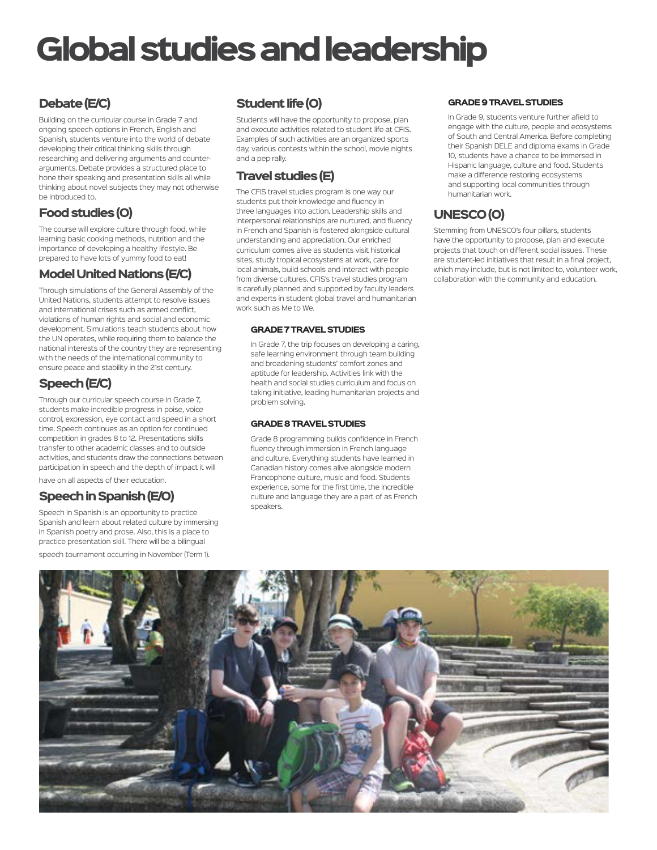# Global studies and leadership

### Debate (E/C)

Building on the curricular course in Grade 7 and ongoing speech options in French, English and Spanish, students venture into the world of debate developing their critical thinking skills through researching and delivering arguments and counterarguments. Debate provides a structured place to hone their speaking and presentation skills all while thinking about novel subjects they may not otherwise be introduced to.

#### Food studies (O)

The course will explore culture through food, while learning basic cooking methods, nutrition and the importance of developing a healthy lifestyle. Be prepared to have lots of yummy food to eat!

#### Model United Nations (E/C)

Through simulations of the General Assembly of the United Nations, students attempt to resolve issues and international crises such as armed conflict, violations of human rights and social and economic development. Simulations teach students about how the UN operates, while requiring them to balance the national interests of the country they are representing with the needs of the international community to ensure peace and stability in the 21st century.

#### Speech (E/C)

Through our curricular speech course in Grade 7, students make incredible progress in poise, voice control, expression, eye contact and speed in a short time. Speech continues as an option for continued competition in grades 8 to 12. Presentations skills transfer to other academic classes and to outside activities, and students draw the connections between participation in speech and the depth of impact it will have on all aspects of their education.

#### Speech in Spanish (E/O)

Speech in Spanish is an opportunity to practice Spanish and learn about related culture by immersing in Spanish poetry and prose. Also, this is a place to practice presentation skill. There will be a bilingual speech tournament occurring in November (Term 1).

### Student life (O)

Students will have the opportunity to propose, plan and execute activities related to student life at CFIS. Examples of such activities are an organized sports day, various contests within the school, movie nights and a pep rally.

#### Travel studies (E)

The CFIS travel studies program is one way our students put their knowledge and fluency in three languages into action. Leadership skills and interpersonal relationships are nurtured, and fluency in French and Spanish is fostered alongside cultural understanding and appreciation. Our enriched curriculum comes alive as students visit historical sites, study tropical ecosystems at work, care for local animals, build schools and interact with people from diverse cultures. CFIS's travel studies program is carefully planned and supported by faculty leaders and experts in student global travel and humanitarian work such as Me to We.

#### GRADE 7 TRAVEL STUDIES

In Grade 7, the trip focuses on developing a caring, safe learning environment through team building and broadening students' comfort zones and aptitude for leadership. Activities link with the health and social studies curriculum and focus on taking initiative, leading humanitarian projects and problem solving.

#### GRADE 8 TRAVEL STUDIES

Grade 8 programming builds confidence in French fluency through immersion in French language and culture. Everything students have learned in Canadian history comes alive alongside modern Francophone culture, music and food. Students experience, some for the first time, the incredible culture and language they are a part of as French speakers.

#### GRADE 9 TRAVEL STUDIES

In Grade 9, students venture further afield to engage with the culture, people and ecosystems of South and Central America. Before completing their Spanish DELE and diploma exams in Grade 10, students have a chance to be immersed in Hispanic language, culture and food. Students make a difference restoring ecosystems and supporting local communities through humanitarian work.

#### UNESCO (O)

Stemming from UNESCO's four pillars, students have the opportunity to propose, plan and execute projects that touch on different social issues. These are student-led initiatives that result in a final project, which may include, but is not limited to, volunteer work, collaboration with the community and education.

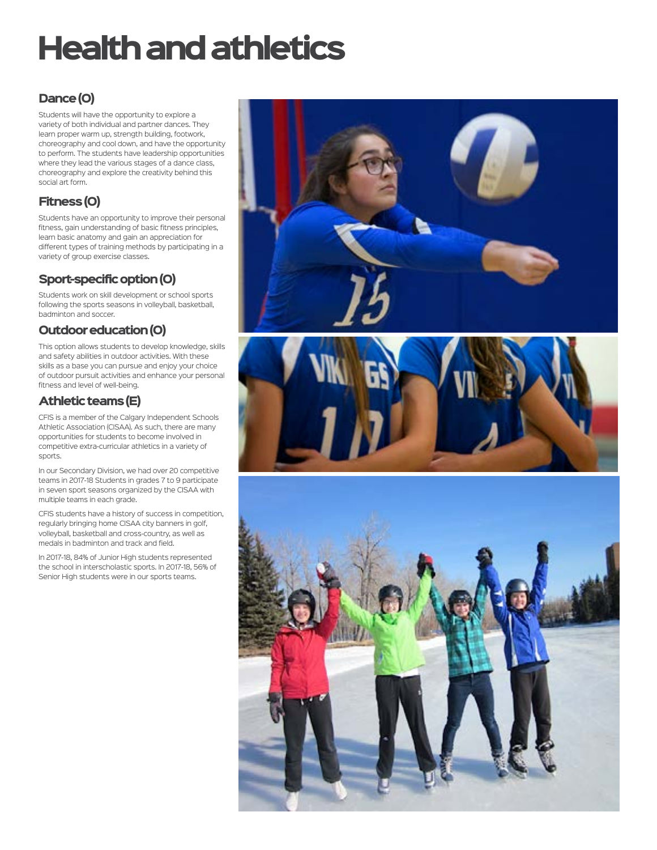# Health and athletics

### Dance (O)

Students will have the opportunity to explore a variety of both individual and partner dances. They learn proper warm up, strength building, footwork, choreography and cool down, and have the opportunity to perform. The students have leadership opportunities where they lead the various stages of a dance class, choreography and explore the creativity behind this social art form.

### Fitness (O)

Students have an opportunity to improve their personal fitness, gain understanding of basic fitness principles, learn basic anatomy and gain an appreciation for different types of training methods by participating in a variety of group exercise classes.

### Sport-specific option (O)

Students work on skill development or school sports following the sports seasons in volleyball, basketball, badminton and soccer.

#### Outdoor education (O)

This option allows students to develop knowledge, skills and safety abilities in outdoor activities. With these skills as a base you can pursue and enjoy your choice of outdoor pursuit activities and enhance your personal fitness and level of well-being.

#### Athletic teams (E)

CFIS is a member of the Calgary Independent Schools Athletic Association (CISAA). As such, there are many opportunities for students to become involved in competitive extra-curricular athletics in a variety of sports.

In our Secondary Division, we had over 20 competitive teams in 2017-18 Students in grades 7 to 9 participate in seven sport seasons organized by the CISAA with multiple teams in each grade.

CFIS students have a history of success in competition, regularly bringing home CISAA city banners in golf, volleyball, basketball and cross-country, as well as medals in badminton and track and field.

In 2017-18, 84% of Junior High students represented the school in interscholastic sports. In 2017-18, 56% of Senior High students were in our sports teams.